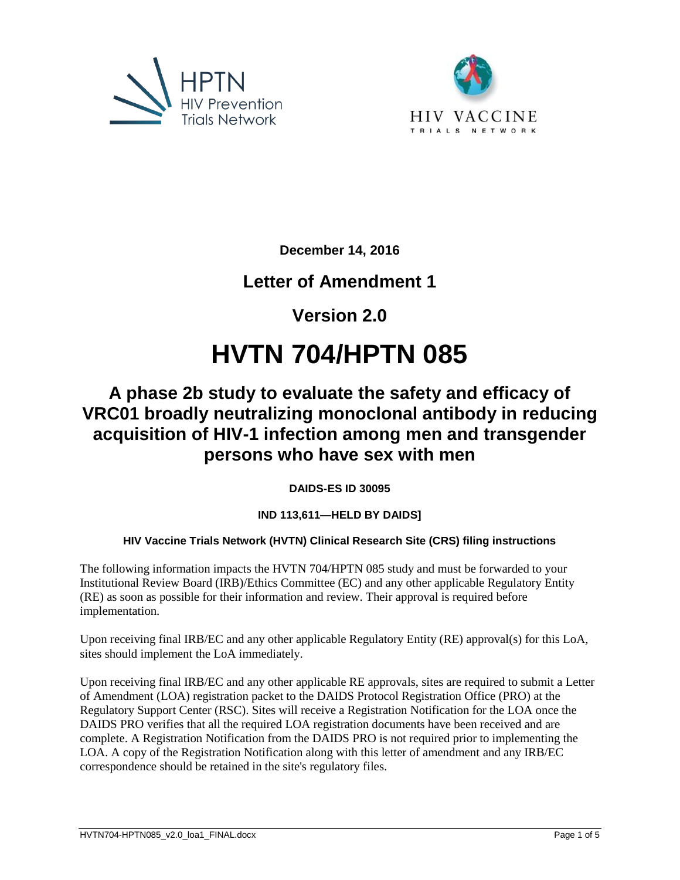



**December 14, 2016** 

# **Letter of Amendment 1**

**Version 2.0** 

# **HVTN 704/HPTN 085**

# **A phase 2b study to evaluate the safety and efficacy of VRC01 broadly neutralizing monoclonal antibody in reducing acquisition of HIV-1 infection among men and transgender persons who have sex with men**

**DAIDS-ES ID 30095** 

# **IND 113,611—HELD BY DAIDS]**

# **HIV Vaccine Trials Network (HVTN) Clinical Research Site (CRS) filing instructions**

The following information impacts the HVTN 704/HPTN 085 study and must be forwarded to your Institutional Review Board (IRB)/Ethics Committee (EC) and any other applicable Regulatory Entity (RE) as soon as possible for their information and review. Their approval is required before implementation.

Upon receiving final IRB/EC and any other applicable Regulatory Entity (RE) approval(s) for this LoA, sites should implement the LoA immediately.

Upon receiving final IRB/EC and any other applicable RE approvals, sites are required to submit a Letter of Amendment (LOA) registration packet to the DAIDS Protocol Registration Office (PRO) at the Regulatory Support Center (RSC). Sites will receive a Registration Notification for the LOA once the DAIDS PRO verifies that all the required LOA registration documents have been received and are complete. A Registration Notification from the DAIDS PRO is not required prior to implementing the LOA. A copy of the Registration Notification along with this letter of amendment and any IRB/EC correspondence should be retained in the site's regulatory files.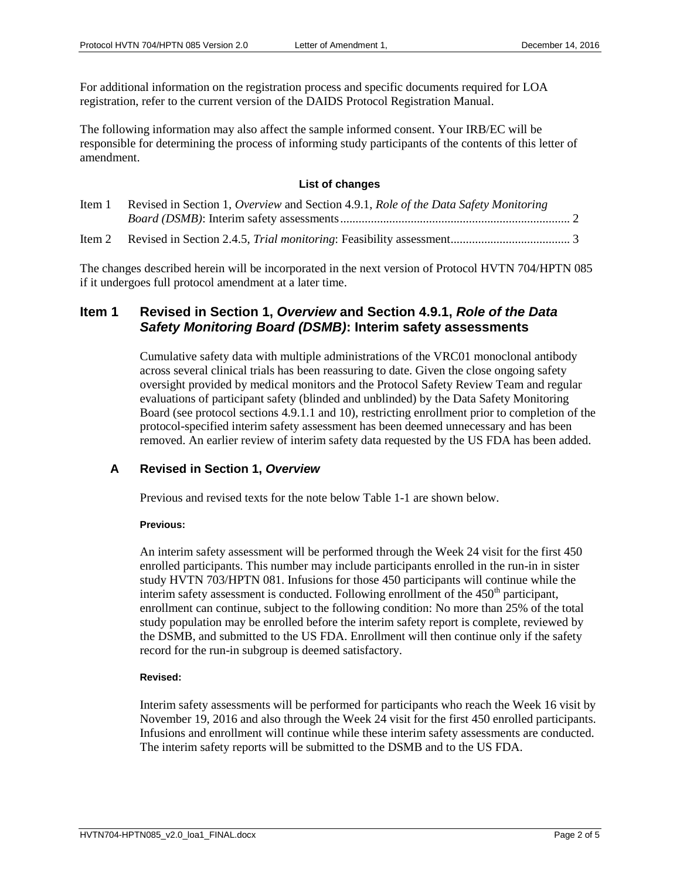For additional information on the registration process and specific documents required for LOA registration, refer to the current version of the DAIDS Protocol Registration Manual.

The following information may also affect the sample informed consent. Your IRB/EC will be responsible for determining the process of informing study participants of the contents of this letter of amendment.

#### **List of changes**

| Item 1 | Revised in Section 1, Overview and Section 4.9.1, Role of the Data Safety Monitoring |  |
|--------|--------------------------------------------------------------------------------------|--|
|        |                                                                                      |  |
|        |                                                                                      |  |

The changes described herein will be incorporated in the next version of Protocol HVTN 704/HPTN 085 if it undergoes full protocol amendment at a later time.

## <span id="page-1-0"></span>**Item 1 Revised in Section 1,** *Overview* **and Section 4.9.1,** *Role of the Data Safety Monitoring Board (DSMB)***: Interim safety assessments**

Cumulative safety data with multiple administrations of the VRC01 monoclonal antibody across several clinical trials has been reassuring to date. Given the close ongoing safety oversight provided by medical monitors and the Protocol Safety Review Team and regular evaluations of participant safety (blinded and unblinded) by the Data Safety Monitoring Board (see protocol sections 4.9.1.1 and 10), restricting enrollment prior to completion of the protocol-specified interim safety assessment has been deemed unnecessary and has been removed. An earlier review of interim safety data requested by the US FDA has been added.

#### **A Revised in Section 1,** *Overview*

Previous and revised texts for the note below Table 1-1 are shown below.

#### **Previous:**

An interim safety assessment will be performed through the Week 24 visit for the first 450 enrolled participants. This number may include participants enrolled in the run-in in sister study HVTN 703/HPTN 081. Infusions for those 450 participants will continue while the interim safety assessment is conducted. Following enrollment of the  $450<sup>th</sup>$  participant, enrollment can continue, subject to the following condition: No more than 25% of the total study population may be enrolled before the interim safety report is complete, reviewed by the DSMB, and submitted to the US FDA. Enrollment will then continue only if the safety record for the run-in subgroup is deemed satisfactory.

#### **Revised:**

Interim safety assessments will be performed for participants who reach the Week 16 visit by November 19, 2016 and also through the Week 24 visit for the first 450 enrolled participants. Infusions and enrollment will continue while these interim safety assessments are conducted. The interim safety reports will be submitted to the DSMB and to the US FDA.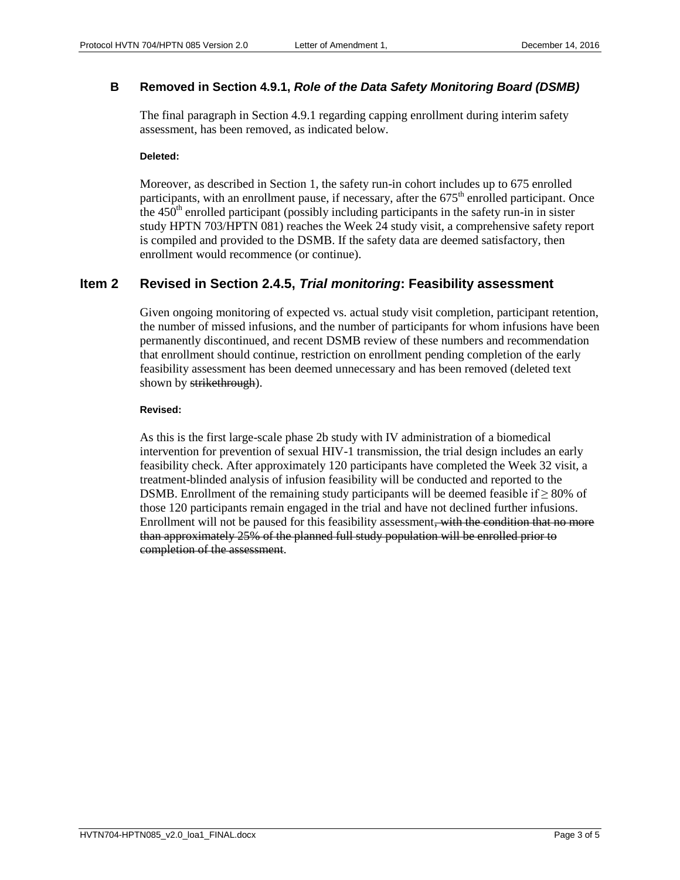### **B Removed in Section 4.9.1,** *Role of the Data Safety Monitoring Board (DSMB)*

The final paragraph in Section 4.9.1 regarding capping enrollment during interim safety assessment, has been removed, as indicated below.

#### **Deleted:**

Moreover, as described in Section 1, the safety run-in cohort includes up to 675 enrolled participants, with an enrollment pause, if necessary, after the  $675<sup>th</sup>$  enrolled participant. Once the  $450<sup>th</sup>$  enrolled participant (possibly including participants in the safety run-in in sister study HPTN 703/HPTN 081) reaches the Week 24 study visit, a comprehensive safety report is compiled and provided to the DSMB. If the safety data are deemed satisfactory, then enrollment would recommence (or continue).

## <span id="page-2-0"></span>**Item 2 Revised in Section 2.4.5,** *Trial monitoring***: Feasibility assessment**

Given ongoing monitoring of expected vs. actual study visit completion, participant retention, the number of missed infusions, and the number of participants for whom infusions have been permanently discontinued, and recent DSMB review of these numbers and recommendation that enrollment should continue, restriction on enrollment pending completion of the early feasibility assessment has been deemed unnecessary and has been removed (deleted text shown by strikethrough).

#### **Revised:**

As this is the first large-scale phase 2b study with IV administration of a biomedical intervention for prevention of sexual HIV-1 transmission, the trial design includes an early feasibility check. After approximately 120 participants have completed the Week 32 visit, a treatment-blinded analysis of infusion feasibility will be conducted and reported to the DSMB. Enrollment of the remaining study participants will be deemed feasible if  $\geq$  80% of those 120 participants remain engaged in the trial and have not declined further infusions. Enrollment will not be paused for this feasibility assessment, with the condition that no more than approximately 25% of the planned full study population will be enrolled prior to completion of the assessment.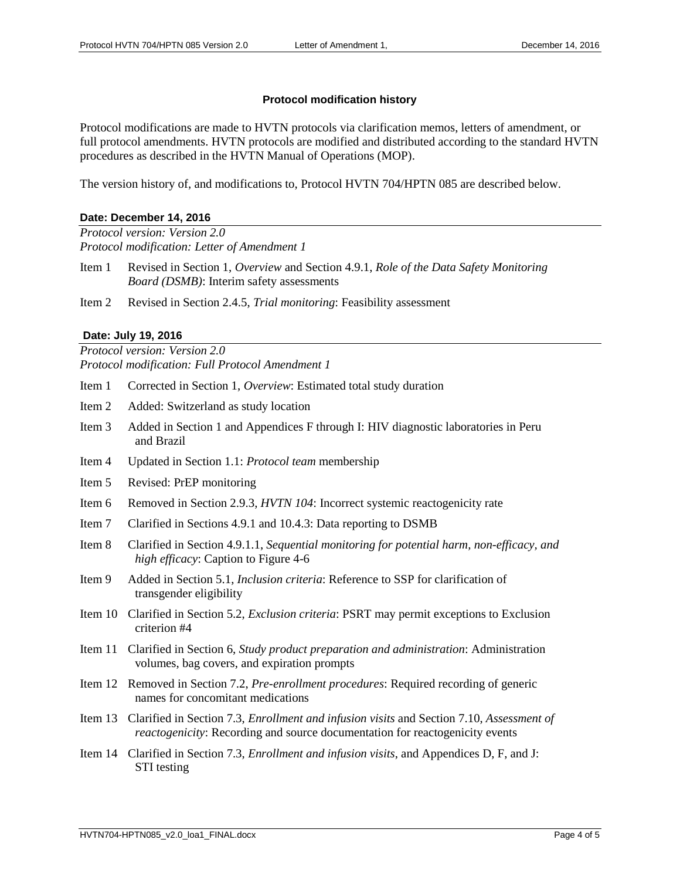#### **Protocol modification history**

Protocol modifications are made to HVTN protocols via clarification memos, letters of amendment, or full protocol amendments. HVTN protocols are modified and distributed according to the standard HVTN procedures as described in the HVTN Manual of Operations (MOP).

The version history of, and modifications to, Protocol HVTN 704/HPTN 085 are described below.

#### **Date: December 14, 2016**

*Protocol version: Version 2.0 Protocol modification: Letter of Amendment 1*

- Item 1 Revised in Section 1, *Overview* and Section 4.9.1, *Role of the Data Safety Monitoring Board (DSMB)*: Interim safety assessments
- Item 2 Revised in Section 2.4.5, *Trial monitoring*: Feasibility assessment

#### **Date: July 19, 2016**

*Protocol version: Version 2.0 Protocol modification: Full Protocol Amendment 1*

- Item 1 Corrected in Section 1, *Overview*: Estimated total study duration
- Item 2 Added: Switzerland as study location
- Item 3 Added in Section 1 and Appendices F through I: HIV diagnostic laboratories in Peru and Brazil
- Item 4 Updated in Section 1.1: *Protocol team* membership
- Item 5 Revised: PrEP monitoring
- Item 6 Removed in Section 2.9.3, *HVTN 104*: Incorrect systemic reactogenicity rate
- Item 7 Clarified in Sections 4.9.1 and 10.4.3: Data reporting to DSMB
- Item 8 Clarified in Section 4.9.1.1, *Sequential monitoring for potential harm, non-efficacy, and high efficacy*: Caption to Figure 4-6
- Item 9 Added in Section 5.1, *Inclusion criteria*: Reference to SSP for clarification of transgender eligibility
- Item 10 Clarified in Section 5.2, *Exclusion criteria*: PSRT may permit exceptions to Exclusion criterion #4
- Item 11 Clarified in Section 6, *Study product preparation and administration*: Administration volumes, bag covers, and expiration prompts
- Item 12 Removed in Section 7.2, *Pre-enrollment procedures*: Required recording of generic names for concomitant medications
- Item 13 Clarified in Section 7.3, *Enrollment and infusion visits* and Section 7.10, *Assessment of reactogenicity*: Recording and source documentation for reactogenicity events
- Item 14 Clarified in Section 7.3, *Enrollment and infusion visits*, and Appendices D, F, and J: STI testing